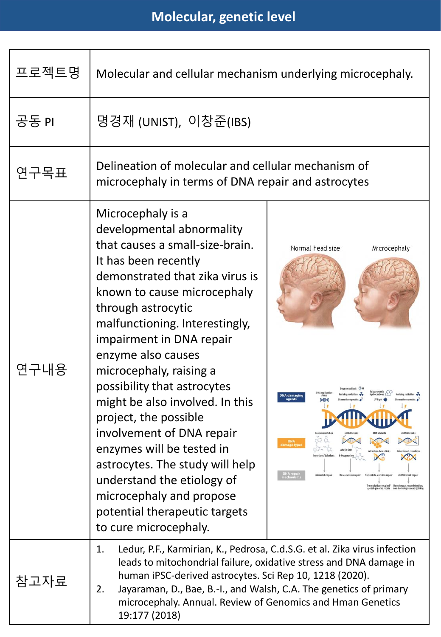| 프로젝트명 | Molecular and cellular mechanism underlying microcephaly.                                                                                                                                                                                                                                                                                                                                                                                                                                                                                                                                                                    |                                                                                                                                                                                                    |
|-------|------------------------------------------------------------------------------------------------------------------------------------------------------------------------------------------------------------------------------------------------------------------------------------------------------------------------------------------------------------------------------------------------------------------------------------------------------------------------------------------------------------------------------------------------------------------------------------------------------------------------------|----------------------------------------------------------------------------------------------------------------------------------------------------------------------------------------------------|
| 공동 PI | 명경재 (UNIST), 이창준(IBS)                                                                                                                                                                                                                                                                                                                                                                                                                                                                                                                                                                                                        |                                                                                                                                                                                                    |
| 연구목표  | Delineation of molecular and cellular mechanism of<br>microcephaly in terms of DNA repair and astrocytes                                                                                                                                                                                                                                                                                                                                                                                                                                                                                                                     |                                                                                                                                                                                                    |
| 연구내용  | Microcephaly is a<br>developmental abnormality<br>that causes a small-size-brain.<br>It has been recently<br>demonstrated that zika virus is<br>known to cause microcephaly<br>through astrocytic<br>malfunctioning. Interestingly,<br>impairment in DNA repair<br>enzyme also causes<br>microcephaly, raising a<br>possibility that astrocytes<br>might be also involved. In this<br>project, the possible<br>involvement of DNA repair<br>enzymes will be tested in<br>astrocytes. The study will help<br>understand the etiology of<br>microcephaly and propose<br>potential therapeutic targets<br>to cure microcephaly. | Normal head size<br>Microcephaly<br>IA damagi<br>DNA<br>DNA repai<br>nechanism<br>dsDNA break repai<br>dentide-excicing renai<br>nption-coupled<br>Homologous recombinat<br>non-homologous end-joi |
| 참고자료  | 1.<br>human iPSC-derived astrocytes. Sci Rep 10, 1218 (2020).<br>Jayaraman, D., Bae, B.-I., and Walsh, C.A. The genetics of primary<br>2.<br>microcephaly. Annual. Review of Genomics and Hman Genetics<br>19:177 (2018)                                                                                                                                                                                                                                                                                                                                                                                                     | Ledur, P.F., Karmirian, K., Pedrosa, C.d.S.G. et al. Zika virus infection<br>leads to mitochondrial failure, oxidative stress and DNA damage in                                                    |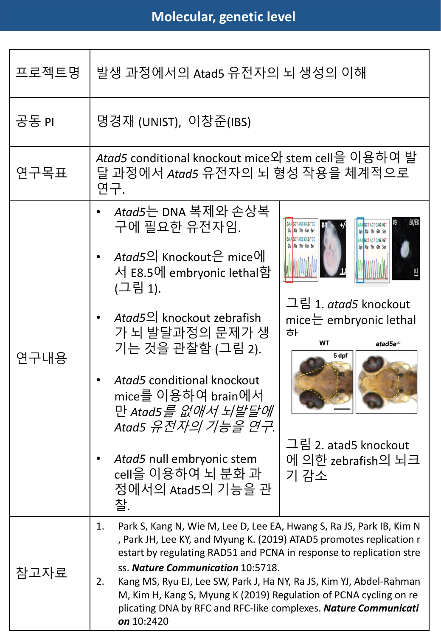# **Molecular, genetic level**

| 프로젝트명 | 발생 과정에서의 Atad5 유전자의 뇌 생성의 이해                                                                                                                                                                                                                                                                                                                                                                                                                                                                                     |  |
|-------|------------------------------------------------------------------------------------------------------------------------------------------------------------------------------------------------------------------------------------------------------------------------------------------------------------------------------------------------------------------------------------------------------------------------------------------------------------------------------------------------------------------|--|
| 공동 PI | 명경재 (UNIST), 이창준(IBS)                                                                                                                                                                                                                                                                                                                                                                                                                                                                                            |  |
| 연구목표  | <i>Atad5</i> conditional knockout mice와 stem cell을 이용하여 발<br>달 과정에서 Atad5 유전자의 뇌 형성 작용을 체계적으로<br>연구.                                                                                                                                                                                                                                                                                                                                                                                                             |  |
| 연구내용  | Atad5는 DNA 복제와 손상복<br>구에 필요한 유전자임.<br>Atad5의 Knockout은 mice에<br>서 E8.5에 embryonic lethal함<br>(그림 1).<br>그림 1. atad5 knockout<br>Atad5 <sup>o</sup> knockout zebrafish<br>mice는 embryonic lethal<br>가 뇌 발달과정의 문제가 생<br>하<br>WT<br>atad5a-<br>기는 것을 관찰함 (그림 2).<br>5 dpf<br>Atad5 conditional knockout<br>mice를 이용하여 brain에서<br>만 Atad5 <i>를 없애서 뇌발달에</i><br>Atad5 유전자의 기능을 연구.<br>그림 2. atad5 knockout<br>Atad5 null embryonic stem<br>에 의한 zebrafish의 뇌크<br>cell을 이용하여 뇌 분화 과<br>기 감소<br>정에서의 Atad5의 기능을 관<br>찰. |  |
| 참고자료  | Park S, Kang N, Wie M, Lee D, Lee EA, Hwang S, Ra JS, Park IB, Kim N<br>1.<br>, Park JH, Lee KY, and Myung K. (2019) ATAD5 promotes replication r<br>estart by regulating RAD51 and PCNA in response to replication stre<br>ss. Nature Communication 10:5718.<br>Kang MS, Ryu EJ, Lee SW, Park J, Ha NY, Ra JS, Kim YJ, Abdel-Rahman<br>2.<br>M, Kim H, Kang S, Myung K (2019) Regulation of PCNA cycling on re<br>plicating DNA by RFC and RFC-like complexes. Nature Communicati<br>on 10:2420                 |  |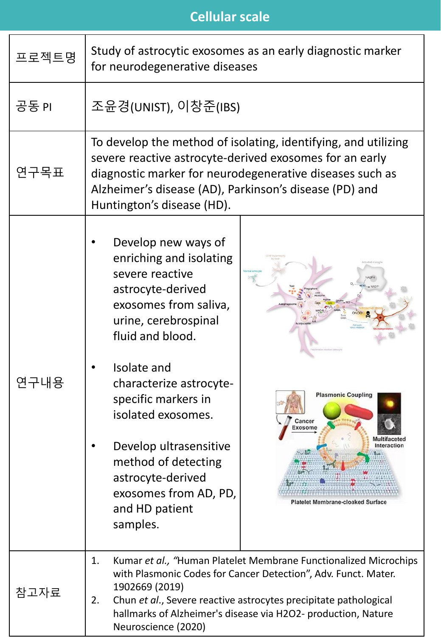| 프로젝트명 | Study of astrocytic exosomes as an early diagnostic marker<br>for neurodegenerative diseases                                                                                                                                                                                                                                                  |  |
|-------|-----------------------------------------------------------------------------------------------------------------------------------------------------------------------------------------------------------------------------------------------------------------------------------------------------------------------------------------------|--|
| 공동 PI | 조윤경(UNIST), 이창준(IBS)                                                                                                                                                                                                                                                                                                                          |  |
| 연구목표  | To develop the method of isolating, identifying, and utilizing<br>severe reactive astrocyte-derived exosomes for an early<br>diagnostic marker for neurodegenerative diseases such as<br>Alzheimer's disease (AD), Parkinson's disease (PD) and<br>Huntington's disease (HD).                                                                 |  |
| 연구내용  | Develop new ways of<br>enriching and isolating<br>severe reactive<br>astrocyte-derived<br>exosomes from saliva,<br>urine, cerebrospinal<br>fluid and blood.<br>Isolate and<br>characterize astrocyte-<br><b>Plasmonic Coupling</b><br>specific markers in<br>isolated exosomes.<br>Cancer<br>Exosome<br>Develop ultrasensitive<br>Interaction |  |
|       | method of detecting<br>astrocyte-derived<br>exosomes from AD, PD,<br>Platelet Membrane-cloaked Surface<br>and HD patient<br>samples.                                                                                                                                                                                                          |  |
| 참고자료  | Kumar et al., "Human Platelet Membrane Functionalized Microchips<br>1.<br>with Plasmonic Codes for Cancer Detection", Adv. Funct. Mater.<br>1902669 (2019)<br>Chun et al., Severe reactive astrocytes precipitate pathological<br>2.<br>hallmarks of Alzheimer's disease via H2O2- production, Nature<br>Neuroscience (2020)                  |  |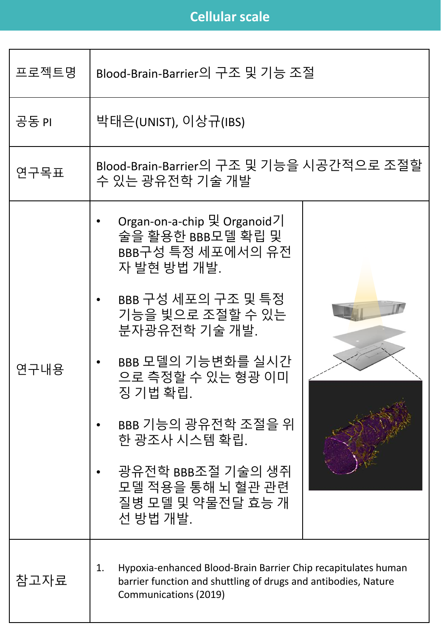| 프로젝트명 | Blood-Brain-Barrier의 구조 및 기능 조절                                                                                                                                                                                                                                                                                         |
|-------|-------------------------------------------------------------------------------------------------------------------------------------------------------------------------------------------------------------------------------------------------------------------------------------------------------------------------|
| 공동 PI | 박태은(UNIST), 이상규(IBS)                                                                                                                                                                                                                                                                                                    |
| 연구목표  | Blood-Brain-Barrier의 구조 및 기능을 시공간적으로 조절할<br>수 있는 광유전학 기술 개발                                                                                                                                                                                                                                                             |
| 연구내용  | Organ-on-a-chip 및 Organoid기<br>술을 활용한 BBB모델 확립 및<br>BBB구성 특정 세포에서의 유전<br>자 발현 방법 개발.<br>BBB 구성 세포의 구조 및 특정<br>기능을 빛으로 조절할 수 있는<br>분자광유전학 기술 개발.<br>BBB 모델의 기능변화를 실시간<br>으로 측정할 수 있는 형광 이미<br>징 기법 확립.<br>BBB 기능의 광유전학 조절을 위<br>한 광조사 시스템 확립.<br>광유전학 BBB조절 기술의 생쥐<br>모델 적용을 통해 뇌 혈관 관련<br>질병 모델 및 약물전달 효능 개<br>선 방법 개발. |
| 참고자료  | Hypoxia-enhanced Blood-Brain Barrier Chip recapitulates human<br>1.<br>barrier function and shuttling of drugs and antibodies, Nature<br>Communications (2019)                                                                                                                                                          |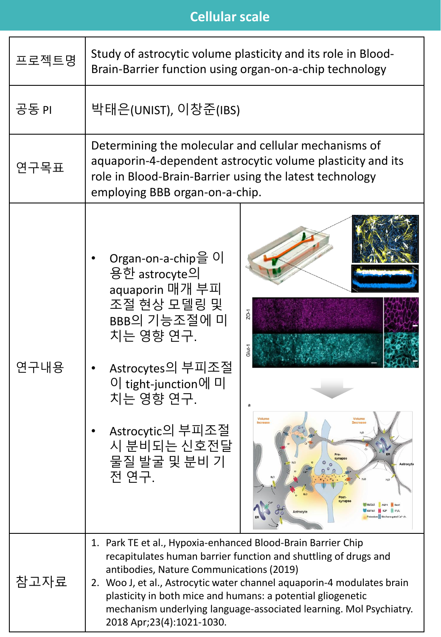| 프로젝트명 | Study of astrocytic volume plasticity and its role in Blood-<br>Brain-Barrier function using organ-on-a-chip technology                                                                                                                                                                                                                                                                                                 |  |
|-------|-------------------------------------------------------------------------------------------------------------------------------------------------------------------------------------------------------------------------------------------------------------------------------------------------------------------------------------------------------------------------------------------------------------------------|--|
| 공동 PI | 박태은(UNIST), 이창준(IBS)                                                                                                                                                                                                                                                                                                                                                                                                    |  |
| 연구목표  | Determining the molecular and cellular mechanisms of<br>aquaporin-4-dependent astrocytic volume plasticity and its<br>role in Blood-Brain-Barrier using the latest technology<br>employing BBB organ-on-a-chip.                                                                                                                                                                                                         |  |
| 연구내용  | Organ-on-a-chip을 이<br>용한 astrocyte의<br>aquaporin 매개 부피<br>조절 현상 모델링 및<br>ZO-1<br>BBB의 기능조절에 미<br>치는 영향 연구.<br>Glut-<br>Astrocytes의 부피조절<br>이 tight-junction에 미<br>치는 영향 연구.<br>Volume<br>Increase<br>Astrocytic의 부피조절<br>시 분비되는 신호전달<br>물질 발굴 및 분비 기<br>synaps<br>Astrocyt<br>전 연구.<br>Post<br>synaps                                                                                                                   |  |
| 참고자료  | 1. Park TE et al., Hypoxia-enhanced Blood-Brain Barrier Chip<br>recapitulates human barrier function and shuttling of drugs and<br>antibodies, Nature Communications (2019)<br>2. Woo J, et al., Astrocytic water channel aquaporin-4 modulates brain<br>plasticity in both mice and humans: a potential gliogenetic<br>mechanism underlying language-associated learning. Mol Psychiatry.<br>2018 Apr;23(4):1021-1030. |  |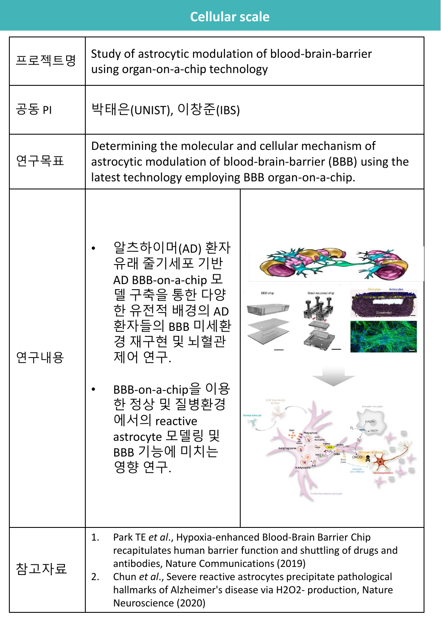| 프로젝트명 | Study of astrocytic modulation of blood-brain-barrier<br>using organ-on-a-chip technology                                                                                                                                                                                                                                                        |  |
|-------|--------------------------------------------------------------------------------------------------------------------------------------------------------------------------------------------------------------------------------------------------------------------------------------------------------------------------------------------------|--|
| 공동 PI | 박태은(UNIST), 이창준(IBS)                                                                                                                                                                                                                                                                                                                             |  |
| 연구목표  | Determining the molecular and cellular mechanism of<br>astrocytic modulation of blood-brain-barrier (BBB) using the<br>latest technology employing BBB organ-on-a-chip.                                                                                                                                                                          |  |
| 연구내용  | 알츠하이머(AD) 환자<br>유래 줄기세포 기반<br>AD BBB-on-a-chip 모<br>델 구축을 통한 다양<br><b>BBB</b> chi<br>한 유전적 배경의 AD<br>환자들의 BBB 미세환<br>경 재구현 및 뇌혈관<br>제어 연구.<br>BBB-on-a-chip을 이용<br>한 정상 및 질병환경<br>에서의 reactive<br>astrocyte 모델링 및<br>BBB 기능에 미치는<br>영향 연구.                                                                                                       |  |
| 참고자료  | Park TE et al., Hypoxia-enhanced Blood-Brain Barrier Chip<br>1.<br>recapitulates human barrier function and shuttling of drugs and<br>antibodies, Nature Communications (2019)<br>Chun et al., Severe reactive astrocytes precipitate pathological<br>2.<br>hallmarks of Alzheimer's disease via H2O2- production, Nature<br>Neuroscience (2020) |  |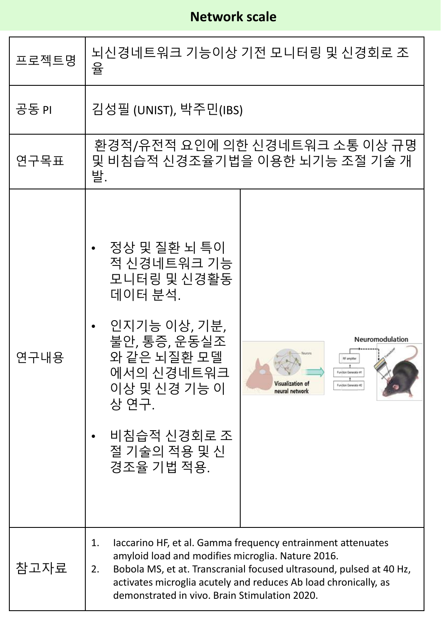| 프로젝트명 | 뇌신경네트워크 기능이상 기전 모니터링 및 신경회로 조<br>율                                                                                                                                                                                                                                                                                      |  |
|-------|-------------------------------------------------------------------------------------------------------------------------------------------------------------------------------------------------------------------------------------------------------------------------------------------------------------------------|--|
| 공동 PI | 김성필 (UNIST), 박주민(IBS)                                                                                                                                                                                                                                                                                                   |  |
| 연구목표  | 환경적/유전적 요인에 의한 신경네트워크 소통 이상 규명<br>및 비침습적 신경조율기법을 이용한 뇌기능 조절 기술 개<br>발.                                                                                                                                                                                                                                                  |  |
| 연구내용  | 정상 및 질환 뇌 특이<br>적 신경네트워크 기능<br>모니터링 및 신경활동<br>데이터 분석.<br>인지기능 이상, 기분,<br>불안, 통증, 운동실조<br>Neuromodulation<br>와 같은 뇌질환 모델<br>에서의 신경네트워크<br>Function Generator #<br>Visualization of<br>이상 및 신경 기능 이<br>neural network<br>상 연구.<br>비침습적 신경회로 조<br>절 기술의 적용 및 신<br>경조율 기법 적용.                                               |  |
| 참고자료  | laccarino HF, et al. Gamma frequency entrainment attenuates<br>1.<br>amyloid load and modifies microglia. Nature 2016.<br>Bobola MS, et at. Transcranial focused ultrasound, pulsed at 40 Hz,<br>2.<br>activates microglia acutely and reduces Ab load chronically, as<br>demonstrated in vivo. Brain Stimulation 2020. |  |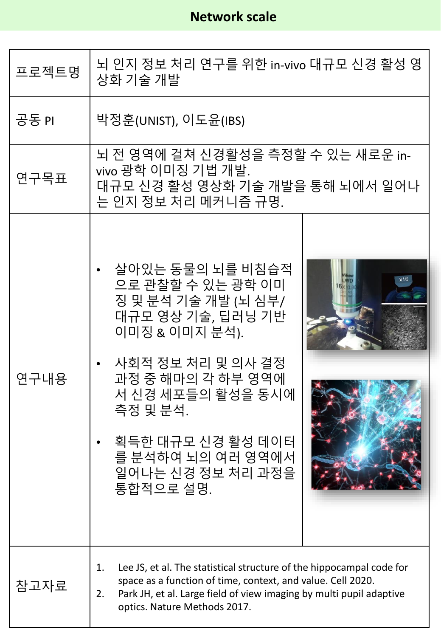| 프로젝트명 | 뇌 인지 정보 처리 연구를 위한 in-vivo 대규모 신경 활성 영<br>상화 기술 개발                                                                                                                                                                                                          |  |
|-------|------------------------------------------------------------------------------------------------------------------------------------------------------------------------------------------------------------------------------------------------------------|--|
| 공동 PI | 박정훈(UNIST), 이도윤(IBS)                                                                                                                                                                                                                                       |  |
| 연구목표  | 뇌 전 영역에 걸쳐 신경활성을 측정할 수 있는 새로운 in-<br>vivo 광학 이미징 기법 개발.<br>대규모 신경 활성 영상화 기술 개발을 통해 뇌에서 일어나<br>는 인지 정보 처리 메커니즘 규명.                                                                                                                                          |  |
| 연구내용  | 살아있는 동물의 뇌를 비침습적<br>으로 관찰할 수 있는 광학 이미<br>징 및 분석 기술 개발 (뇌 심부/<br>대규모 영상 기술, 딥러닝 기반<br>이미징 & 이미지 분석).<br>사회적 정보 처리 및 의사 결정<br>과정 중 해마의 각 하부 영역에<br>서 신경 세포들의 활성을 동시에<br>측정 및 분석.<br>획득한 대규모 신경 활성 데이터<br>를 분석하여 뇌의 여러 영역에서<br>일어나는 신경 정보 처리 과정을<br>통합적으로 설명. |  |
| 참고자료  | Lee JS, et al. The statistical structure of the hippocampal code for<br>1.<br>space as a function of time, context, and value. Cell 2020.<br>Park JH, et al. Large field of view imaging by multi pupil adaptive<br>2.<br>optics. Nature Methods 2017.     |  |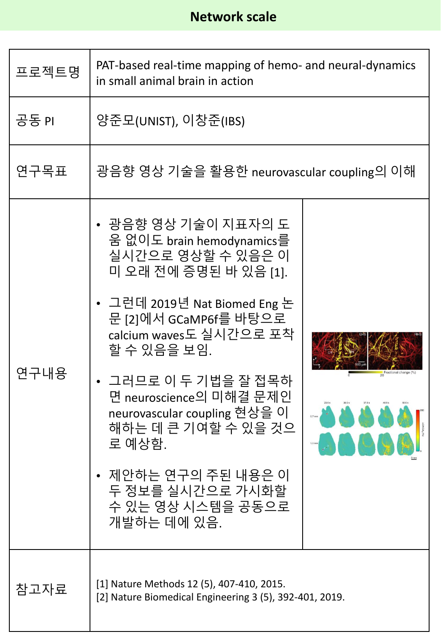| 프로젝트명 | PAT-based real-time mapping of hemo- and neural-dynamics<br>in small animal brain in action                                                                                                                                                                                                                                                                                                        |  |
|-------|----------------------------------------------------------------------------------------------------------------------------------------------------------------------------------------------------------------------------------------------------------------------------------------------------------------------------------------------------------------------------------------------------|--|
| 공동 PI | 양준모(UNIST), 이창준(IBS)                                                                                                                                                                                                                                                                                                                                                                               |  |
| 연구목표  | 광음향 영상 기술을 활용한 neurovascular coupling의 이해                                                                                                                                                                                                                                                                                                                                                          |  |
| 연구내용  | • 광음향 영상 기술이 지표자의 도<br>움 없이도 brain hemodynamics를<br>실시간으로 영상할 수 있음은 이<br>미 오래 전에 증명된 바 있음 [1].<br>• 그런데 2019년 Nat Biomed Eng 논<br>문 [2]에서 GCaMP6f를 바탕으로<br>calcium waves도 실시간으로 포착<br>할 수 있음을 보임.<br>• 그러므로 이 두 기법을 잘 접목하<br>면 neuroscience의 미해결 문제인<br>neurovascular coupling 현상을 이<br>해하는 데 큰 기여할 수 있을 것으<br>로 예상함.<br>제안하는 연구의 주된 내용은 이<br>두 정보를 실시간으로 가시화할<br>수 있는 영상 시스템을 공동으로<br>개발하는 데에 있음. |  |
| 참고자료  | [1] Nature Methods 12 (5), 407-410, 2015.<br>[2] Nature Biomedical Engineering 3 (5), 392-401, 2019.                                                                                                                                                                                                                                                                                               |  |